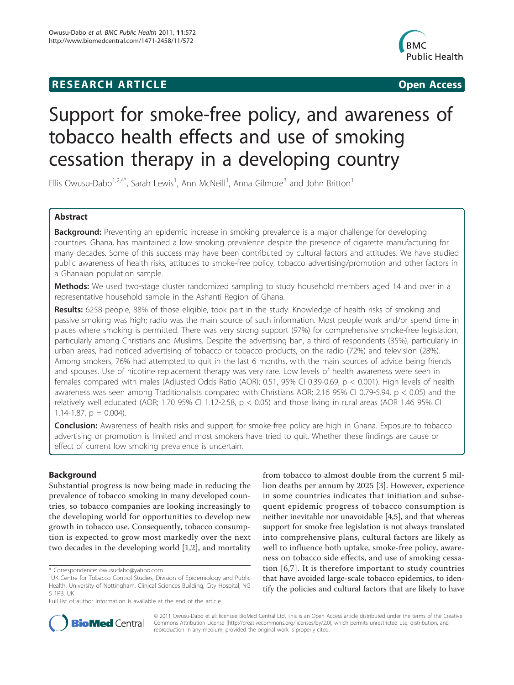## **RESEARCH ARTICLE Example 2018 CONSUMING ACCESS**



# Support for smoke-free policy, and awareness of tobacco health effects and use of smoking cessation therapy in a developing country

Ellis Owusu-Dabo $^{1,2,4^*}$ , Sarah Lewis<sup>1</sup>, Ann McNeill<sup>1</sup>, Anna Gilmore<sup>3</sup> and John Britton<sup>1</sup>

## Abstract

**Background:** Preventing an epidemic increase in smoking prevalence is a major challenge for developing countries. Ghana, has maintained a low smoking prevalence despite the presence of cigarette manufacturing for many decades. Some of this success may have been contributed by cultural factors and attitudes. We have studied public awareness of health risks, attitudes to smoke-free policy, tobacco advertising/promotion and other factors in a Ghanaian population sample.

Methods: We used two-stage cluster randomized sampling to study household members aged 14 and over in a representative household sample in the Ashanti Region of Ghana.

Results: 6258 people, 88% of those eligible, took part in the study. Knowledge of health risks of smoking and passive smoking was high; radio was the main source of such information. Most people work and/or spend time in places where smoking is permitted. There was very strong support (97%) for comprehensive smoke-free legislation, particularly among Christians and Muslims. Despite the advertising ban, a third of respondents (35%), particularly in urban areas, had noticed advertising of tobacco or tobacco products, on the radio (72%) and television (28%). Among smokers, 76% had attempted to quit in the last 6 months, with the main sources of advice being friends and spouses. Use of nicotine replacement therapy was very rare. Low levels of health awareness were seen in females compared with males (Adjusted Odds Ratio (AOR); 0.51, 95% CI 0.39-0.69, p < 0.001). High levels of health awareness was seen among Traditionalists compared with Christians AOR; 2.16 95% CI 0.79-5.94, p < 0.05) and the relatively well educated (AOR; 1.70 95% CI 1.12-2.58, p < 0.05) and those living in rural areas (AOR 1.46 95% CI 1.14-1.87,  $p = 0.004$ ).

**Conclusion:** Awareness of health risks and support for smoke-free policy are high in Ghana. Exposure to tobacco advertising or promotion is limited and most smokers have tried to quit. Whether these findings are cause or effect of current low smoking prevalence is uncertain.

## Background

Substantial progress is now being made in reducing the prevalence of tobacco smoking in many developed countries, so tobacco companies are looking increasingly to the developing world for opportunities to develop new growth in tobacco use. Consequently, tobacco consumption is expected to grow most markedly over the next two decades in the developing world [\[1,2](#page-10-0)], and mortality

from tobacco to almost double from the current 5 million deaths per annum by 2025 [\[3](#page-10-0)]. However, experience in some countries indicates that initiation and subsequent epidemic progress of tobacco consumption is neither inevitable nor unavoidable [[4,5](#page-10-0)], and that whereas support for smoke free legislation is not always translated into comprehensive plans, cultural factors are likely as well to influence both uptake, smoke-free policy, awareness on tobacco side effects, and use of smoking cessation [[6,7\]](#page-10-0). It is therefore important to study countries that have avoided large-scale tobacco epidemics, to identify the policies and cultural factors that are likely to have



© 2011 Owusu-Dabo et al; licensee BioMed Central Ltd. This is an Open Access article distributed under the terms of the Creative Commons Attribution License [\(http://creativecommons.org/licenses/by/2.0](http://creativecommons.org/licenses/by/2.0)), which permits unrestricted use, distribution, and reproduction in any medium, provided the original work is properly cited.

<sup>\*</sup> Correspondence: [owusudabo@yahoo.com](mailto:owusudabo@yahoo.com)

<sup>&</sup>lt;sup>1</sup>UK Centre for Tobacco Control Studies, Division of Epidemiology and Public Health, University of Nottingham, Clinical Sciences Building, City Hospital, NG 5 1PB, UK

Full list of author information is available at the end of the article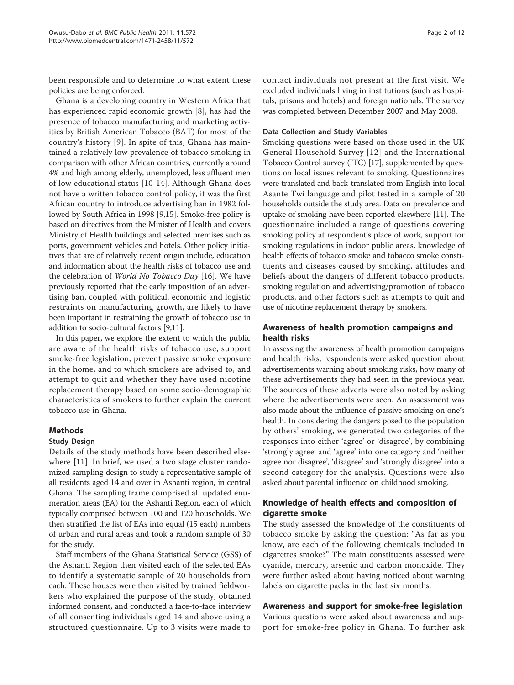been responsible and to determine to what extent these policies are being enforced.

Ghana is a developing country in Western Africa that has experienced rapid economic growth [\[8](#page-10-0)], has had the presence of tobacco manufacturing and marketing activities by British American Tobacco (BAT) for most of the country's history [[9](#page-10-0)]. In spite of this, Ghana has maintained a relatively low prevalence of tobacco smoking in comparison with other African countries, currently around 4% and high among elderly, unemployed, less affluent men of low educational status [[10](#page-10-0)-[14\]](#page-10-0). Although Ghana does not have a written tobacco control policy, it was the first African country to introduce advertising ban in 1982 followed by South Africa in 1998 [[9,15](#page-10-0)]. Smoke-free policy is based on directives from the Minister of Health and covers Ministry of Health buildings and selected premises such as ports, government vehicles and hotels. Other policy initiatives that are of relatively recent origin include, education and information about the health risks of tobacco use and the celebration of World No Tobacco Day [\[16](#page-10-0)]. We have previously reported that the early imposition of an advertising ban, coupled with political, economic and logistic restraints on manufacturing growth, are likely to have been important in restraining the growth of tobacco use in addition to socio-cultural factors [\[9,11\]](#page-10-0).

In this paper, we explore the extent to which the public are aware of the health risks of tobacco use, support smoke-free legislation, prevent passive smoke exposure in the home, and to which smokers are advised to, and attempt to quit and whether they have used nicotine replacement therapy based on some socio-demographic characteristics of smokers to further explain the current tobacco use in Ghana.

### Methods

#### Study Design

Details of the study methods have been described elsewhere [\[11](#page-10-0)]. In brief, we used a two stage cluster randomized sampling design to study a representative sample of all residents aged 14 and over in Ashanti region, in central Ghana. The sampling frame comprised all updated enumeration areas (EA) for the Ashanti Region, each of which typically comprised between 100 and 120 households. We then stratified the list of EAs into equal (15 each) numbers of urban and rural areas and took a random sample of 30 for the study.

Staff members of the Ghana Statistical Service (GSS) of the Ashanti Region then visited each of the selected EAs to identify a systematic sample of 20 households from each. These houses were then visited by trained fieldworkers who explained the purpose of the study, obtained informed consent, and conducted a face-to-face interview of all consenting individuals aged 14 and above using a structured questionnaire. Up to 3 visits were made to contact individuals not present at the first visit. We excluded individuals living in institutions (such as hospitals, prisons and hotels) and foreign nationals. The survey was completed between December 2007 and May 2008.

#### Data Collection and Study Variables

Smoking questions were based on those used in the UK General Household Survey [\[12\]](#page-10-0) and the International Tobacco Control survey (ITC) [\[17](#page-10-0)], supplemented by questions on local issues relevant to smoking. Questionnaires were translated and back-translated from English into local Asante Twi language and pilot tested in a sample of 20 households outside the study area. Data on prevalence and uptake of smoking have been reported elsewhere [\[11\]](#page-10-0). The questionnaire included a range of questions covering smoking policy at respondent's place of work, support for smoking regulations in indoor public areas, knowledge of health effects of tobacco smoke and tobacco smoke constituents and diseases caused by smoking, attitudes and beliefs about the dangers of different tobacco products, smoking regulation and advertising/promotion of tobacco products, and other factors such as attempts to quit and use of nicotine replacement therapy by smokers.

## Awareness of health promotion campaigns and health risks

In assessing the awareness of health promotion campaigns and health risks, respondents were asked question about advertisements warning about smoking risks, how many of these advertisements they had seen in the previous year. The sources of these adverts were also noted by asking where the advertisements were seen. An assessment was also made about the influence of passive smoking on one's health. In considering the dangers posed to the population by others' smoking, we generated two categories of the responses into either 'agree' or 'disagree', by combining 'strongly agree' and 'agree' into one category and 'neither agree nor disagree', 'disagree' and 'strongly disagree' into a second category for the analysis. Questions were also asked about parental influence on childhood smoking.

## Knowledge of health effects and composition of cigarette smoke

The study assessed the knowledge of the constituents of tobacco smoke by asking the question: "As far as you know, are each of the following chemicals included in cigarettes smoke?" The main constituents assessed were cyanide, mercury, arsenic and carbon monoxide. They were further asked about having noticed about warning labels on cigarette packs in the last six months.

### Awareness and support for smoke-free legislation

Various questions were asked about awareness and support for smoke-free policy in Ghana. To further ask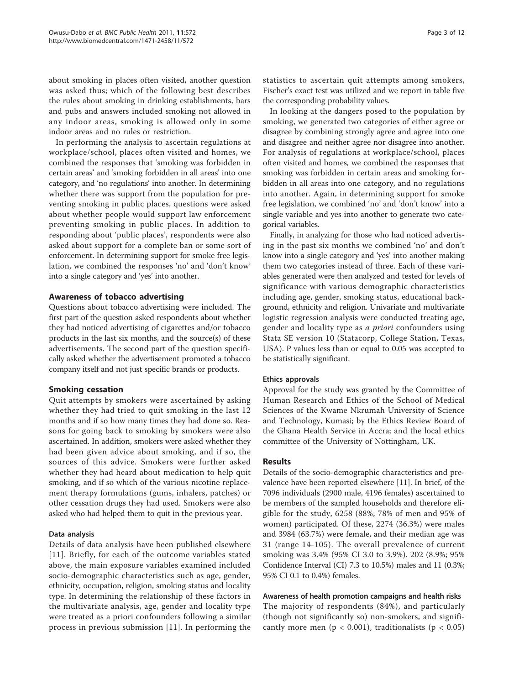about smoking in places often visited, another question was asked thus; which of the following best describes the rules about smoking in drinking establishments, bars and pubs and answers included smoking not allowed in any indoor areas, smoking is allowed only in some indoor areas and no rules or restriction.

In performing the analysis to ascertain regulations at workplace/school, places often visited and homes, we combined the responses that 'smoking was forbidden in certain areas' and 'smoking forbidden in all areas' into one category, and 'no regulations' into another. In determining whether there was support from the population for preventing smoking in public places, questions were asked about whether people would support law enforcement preventing smoking in public places. In addition to responding about 'public places', respondents were also asked about support for a complete ban or some sort of enforcement. In determining support for smoke free legislation, we combined the responses 'no' and 'don't know' into a single category and 'yes' into another.

### Awareness of tobacco advertising

Questions about tobacco advertising were included. The first part of the question asked respondents about whether they had noticed advertising of cigarettes and/or tobacco products in the last six months, and the source(s) of these advertisements. The second part of the question specifically asked whether the advertisement promoted a tobacco company itself and not just specific brands or products.

## Smoking cessation

Quit attempts by smokers were ascertained by asking whether they had tried to quit smoking in the last 12 months and if so how many times they had done so. Reasons for going back to smoking by smokers were also ascertained. In addition, smokers were asked whether they had been given advice about smoking, and if so, the sources of this advice. Smokers were further asked whether they had heard about medication to help quit smoking, and if so which of the various nicotine replacement therapy formulations (gums, inhalers, patches) or other cessation drugs they had used. Smokers were also asked who had helped them to quit in the previous year.

### Data analysis

Details of data analysis have been published elsewhere [[11\]](#page-10-0). Briefly, for each of the outcome variables stated above, the main exposure variables examined included socio-demographic characteristics such as age, gender, ethnicity, occupation, religion, smoking status and locality type. In determining the relationship of these factors in the multivariate analysis, age, gender and locality type were treated as a priori confounders following a similar process in previous submission [[11\]](#page-10-0). In performing the statistics to ascertain quit attempts among smokers, Fischer's exact test was utilized and we report in table five the corresponding probability values.

In looking at the dangers posed to the population by smoking, we generated two categories of either agree or disagree by combining strongly agree and agree into one and disagree and neither agree nor disagree into another. For analysis of regulations at workplace/school, places often visited and homes, we combined the responses that smoking was forbidden in certain areas and smoking forbidden in all areas into one category, and no regulations into another. Again, in determining support for smoke free legislation, we combined 'no' and 'don't know' into a single variable and yes into another to generate two categorical variables.

Finally, in analyzing for those who had noticed advertising in the past six months we combined 'no' and don't know into a single category and 'yes' into another making them two categories instead of three. Each of these variables generated were then analyzed and tested for levels of significance with various demographic characteristics including age, gender, smoking status, educational background, ethnicity and religion. Univariate and multivariate logistic regression analysis were conducted treating age, gender and locality type as *a priori* confounders using Stata SE version 10 (Statacorp, College Station, Texas, USA). P values less than or equal to 0.05 was accepted to be statistically significant.

### Ethics approvals

Approval for the study was granted by the Committee of Human Research and Ethics of the School of Medical Sciences of the Kwame Nkrumah University of Science and Technology, Kumasi; by the Ethics Review Board of the Ghana Health Service in Accra; and the local ethics committee of the University of Nottingham, UK.

## Results

Details of the socio-demographic characteristics and prevalence have been reported elsewhere [[11](#page-10-0)]. In brief, of the 7096 individuals (2900 male, 4196 females) ascertained to be members of the sampled households and therefore eligible for the study, 6258 (88%; 78% of men and 95% of women) participated. Of these, 2274 (36.3%) were males and 3984 (63.7%) were female, and their median age was 31 (range 14-105). The overall prevalence of current smoking was 3.4% (95% CI 3.0 to 3.9%). 202 (8.9%; 95% Confidence Interval (CI) 7.3 to 10.5%) males and 11 (0.3%; 95% CI 0.1 to 0.4%) females.

## Awareness of health promotion campaigns and health risks

The majority of respondents (84%), and particularly (though not significantly so) non-smokers, and significantly more men ( $p < 0.001$ ), traditionalists ( $p < 0.05$ )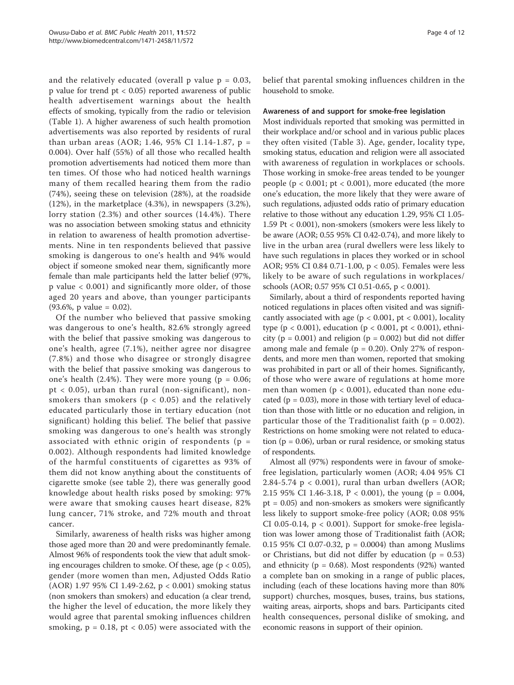and the relatively educated (overall  $p$  value  $p = 0.03$ , p value for trend pt < 0.05) reported awareness of public health advertisement warnings about the health effects of smoking, typically from the radio or television (Table [1](#page-4-0)). A higher awareness of such health promotion advertisements was also reported by residents of rural than urban areas (AOR; 1.46, 95% CI 1.14-1.87, p = 0.004). Over half (55%) of all those who recalled health promotion advertisements had noticed them more than ten times. Of those who had noticed health warnings many of them recalled hearing them from the radio (74%), seeing these on television (28%), at the roadside (12%), in the marketplace (4.3%), in newspapers (3.2%), lorry station (2.3%) and other sources (14.4%). There was no association between smoking status and ethnicity in relation to awareness of health promotion advertisements. Nine in ten respondents believed that passive smoking is dangerous to one's health and 94% would object if someone smoked near them, significantly more female than male participants held the latter belief (97%, p value < 0.001) and significantly more older, of those aged 20 years and above, than younger participants  $(93.6\% , p \text{ value } = 0.02).$ 

Of the number who believed that passive smoking was dangerous to one's health, 82.6% strongly agreed with the belief that passive smoking was dangerous to one's health, agree (7.1%), neither agree nor disagree (7.8%) and those who disagree or strongly disagree with the belief that passive smoking was dangerous to one's health (2.4%). They were more young ( $p = 0.06$ ; pt < 0.05), urban than rural (non-significant), nonsmokers than smokers ( $p < 0.05$ ) and the relatively educated particularly those in tertiary education (not significant) holding this belief. The belief that passive smoking was dangerous to one's health was strongly associated with ethnic origin of respondents ( $p =$ 0.002). Although respondents had limited knowledge of the harmful constituents of cigarettes as 93% of them did not know anything about the constituents of cigarette smoke (see table [2\)](#page-5-0), there was generally good knowledge about health risks posed by smoking: 97% were aware that smoking causes heart disease, 82% lung cancer, 71% stroke, and 72% mouth and throat cancer.

Similarly, awareness of health risks was higher among those aged more than 20 and were predominantly female. Almost 96% of respondents took the view that adult smoking encourages children to smoke. Of these, age ( $p < 0.05$ ), gender (more women than men, Adjusted Odds Ratio (AOR) 1.97 95% CI 1.49-2.62, p < 0.001) smoking status (non smokers than smokers) and education (a clear trend, the higher the level of education, the more likely they would agree that parental smoking influences children smoking,  $p = 0.18$ ,  $pt < 0.05$ ) were associated with the belief that parental smoking influences children in the household to smoke.

#### Awareness of and support for smoke-free legislation

Most individuals reported that smoking was permitted in their workplace and/or school and in various public places they often visited (Table [3](#page-6-0)). Age, gender, locality type, smoking status, education and religion were all associated with awareness of regulation in workplaces or schools. Those working in smoke-free areas tended to be younger people ( $p < 0.001$ ; pt  $< 0.001$ ), more educated (the more one's education, the more likely that they were aware of such regulations, adjusted odds ratio of primary education relative to those without any education 1.29, 95% CI 1.05- 1.59 Pt < 0.001), non-smokers (smokers were less likely to be aware (AOR; 0.55 95% CI 0.42-0.74), and more likely to live in the urban area (rural dwellers were less likely to have such regulations in places they worked or in school AOR; 95% CI 0.84 0.71-1.00, p < 0.05). Females were less likely to be aware of such regulations in workplaces/ schools (AOR; 0.57 95% CI 0.51-0.65, p < 0.001).

Similarly, about a third of respondents reported having noticed regulations in places often visited and was significantly associated with age ( $p < 0.001$ ,  $pt < 0.001$ ), locality type (p < 0.001), education (p < 0.001, pt < 0.001), ethnicity ( $p = 0.001$ ) and religion ( $p = 0.002$ ) but did not differ among male and female ( $p = 0.20$ ). Only 27% of respondents, and more men than women, reported that smoking was prohibited in part or all of their homes. Significantly, of those who were aware of regulations at home more men than women ( $p < 0.001$ ), educated than none educated ( $p = 0.03$ ), more in those with tertiary level of education than those with little or no education and religion, in particular those of the Traditionalist faith ( $p = 0.002$ ). Restrictions on home smoking were not related to education ( $p = 0.06$ ), urban or rural residence, or smoking status of respondents.

Almost all (97%) respondents were in favour of smokefree legislation, particularly women (AOR; 4.04 95% CI 2.84-5.74  $p < 0.001$ ), rural than urban dwellers (AOR; 2.15 95% CI 1.46-3.18,  $P < 0.001$ ), the young (p = 0.004, pt = 0.05) and non-smokers as smokers were significantly less likely to support smoke-free policy (AOR; 0.08 95% CI 0.05-0.14,  $p < 0.001$ ). Support for smoke-free legislation was lower among those of Traditionalist faith (AOR; 0.15 95% CI 0.07-0.32,  $p = 0.0004$ ) than among Muslims or Christians, but did not differ by education ( $p = 0.53$ ) and ethnicity ( $p = 0.68$ ). Most respondents (92%) wanted a complete ban on smoking in a range of public places, including (each of these locations having more than 80% support) churches, mosques, buses, trains, bus stations, waiting areas, airports, shops and bars. Participants cited health consequences, personal dislike of smoking, and economic reasons in support of their opinion.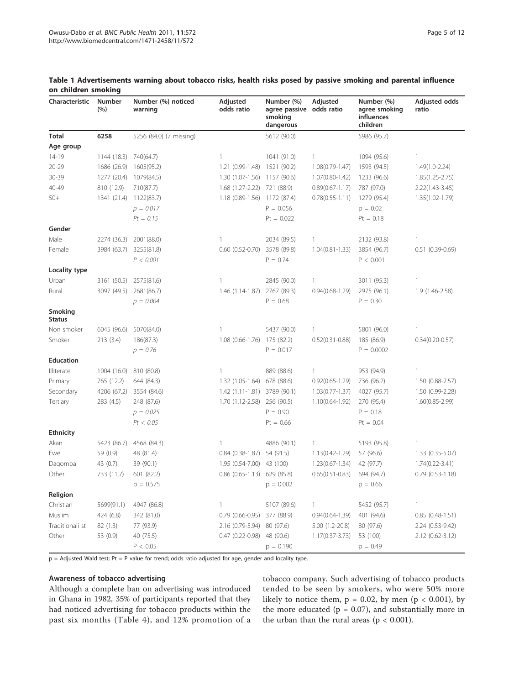| Characteristic           | Number<br>(%) | Number (%) noticed<br>warning | Adjusted<br>odds ratio           | Number (%)<br>agree passive odds ratio<br>smoking<br>dangerous | Adjusted            | Number (%)<br>agree smoking<br>influences<br>children | Adjusted odds<br>ratio |
|--------------------------|---------------|-------------------------------|----------------------------------|----------------------------------------------------------------|---------------------|-------------------------------------------------------|------------------------|
| Total                    | 6258          | 5256 (84.0) (7 missing)       |                                  | 5612 (90.0)                                                    |                     | 5986 (95.7)                                           |                        |
| Age group                |               |                               |                                  |                                                                |                     |                                                       |                        |
| $14 - 19$                | 1144 (18.3)   | 740(64.7)                     | $\mathbf{1}$                     | 1041 (91.0)                                                    | -1                  | 1094 (95.6)                                           | 1                      |
| 20-29                    | 1686 (26.9)   | 1605(95.2)                    | 1.21 (0.99-1.48)                 | 1521 (90.2)                                                    | $1.08(0.79 - 1.47)$ | 1593 (94.5)                                           | $1.49(1.0 - 2.24)$     |
| 30-39                    | 1277 (20.4)   | 1079(84.5)                    | 1.30 (1.07-1.56)                 | 1157 (90.6)                                                    | $1.07(0.80 - 1.42)$ | 1233 (96.6)                                           | $1.85(1.25 - 2.75)$    |
| 40-49                    | 810 (12.9)    | 710(87.7)                     | 1.68 (1.27-2.22)                 | 721 (88.9)                                                     | $0.89(0.67 - 1.17)$ | 787 (97.0)                                            | $2.22(1.43 - 3.45)$    |
| $50+$                    | 1341 (21.4)   | 1122(83.7)                    | $1.18(0.89-1.56)$                | 1172 (87.4)                                                    | $0.78(0.55 - 1.11)$ | 1279 (95.4)                                           | 1.35(1.02-1.79)        |
|                          |               | $p = 0.017$                   |                                  | $P = 0.056$                                                    |                     | $p = 0.02$                                            |                        |
|                          |               | $Pt = 0.15$                   |                                  | $Pt = 0.022$                                                   |                     | $Pt = 0.18$                                           |                        |
| Gender                   |               |                               |                                  |                                                                |                     |                                                       |                        |
| Male                     | 2274 (36.3)   | 2001(88.0)                    | $\mathbf{1}$                     | 2034 (89.5)                                                    | 1                   | 2132 (93.8)                                           | 1                      |
| Female                   | 3984 (63.7)   | 3255(81.8)                    | 0.60 (0.52-0.70) 3578 (89.8)     |                                                                | $1.04(0.81 - 1.33)$ | 3854 (96.7)                                           | $0.51(0.39-0.69)$      |
|                          |               | P < 0.001                     |                                  | $P = 0.74$                                                     |                     | P < 0.001                                             |                        |
| Locality type            |               |                               |                                  |                                                                |                     |                                                       |                        |
| Urban                    | 3161 (50.5)   | 2575(81.6)                    | 1                                | 2845 (90.0)                                                    | 1                   | 3011 (95.3)                                           | 1                      |
| Rural                    | 3097 (49.5)   | 2681(86.7)                    | 1.46 (1.14-1.87) 2767 (89.3)     |                                                                | $0.94(0.68 - 1.29)$ | 2975 (96.1)                                           | 1.9 (1.46-2.58)        |
|                          |               | $p = 0.004$                   |                                  | $P = 0.68$                                                     |                     | $P = 0.30$                                            |                        |
| Smoking<br><b>Status</b> |               |                               |                                  |                                                                |                     |                                                       |                        |
| Non smoker               | 6045 (96.6)   | 5070(84.0)                    | 1                                | 5437 (90.0)                                                    | 1                   | 5801 (96.0)                                           | 1                      |
| Smoker                   | 213 (3.4)     | 186(87.3)                     | 1.08 (0.66-1.76)                 | 175 (82.2)                                                     | $0.52(0.31 - 0.88)$ | 185 (86.9)                                            | $0.34(0.20 - 0.57)$    |
|                          |               | $p = 0.76$                    |                                  | $P = 0.017$                                                    |                     | $P = 0.0002$                                          |                        |
| <b>Education</b>         |               |                               |                                  |                                                                |                     |                                                       |                        |
| Illiterate               | 1004 (16.0)   | 810 (80.8)                    | 1                                | 889 (88.6)                                                     | 1                   | 953 (94.9)                                            | $\mathbf{1}$           |
| Primary                  | 765 (12.2)    | 644 (84.3)                    | 1.32 (1.05-1.64) 678 (88.6)      |                                                                | $0.92(0.65 - 1.29)$ | 736 (96.2)                                            | 1.50 (0.88-2.57)       |
| Secondary                | 4206 (67.2)   | 3554 (84.6)                   | 1.42 (1.11-1.81) 3789 (90.1)     |                                                                | $1.03(0.77 - 1.37)$ | 4027 (95.7)                                           | 1.50 (0.99-2.28)       |
| Tertiary                 | 283 (4.5)     | 248 (87.6)                    | 1.70 (1.12-2.58)                 | 256 (90.5)                                                     | $1.10(0.64 - 1.92)$ | 270 (95.4)                                            | $1.60(0.85 - 2.99)$    |
|                          |               | $p = 0.025$                   |                                  | $P = 0.90$                                                     |                     | $P = 0.18$                                            |                        |
|                          |               | Pt < 0.05                     |                                  | $Pt = 0.66$                                                    |                     | $Pt = 0.04$                                           |                        |
| <b>Ethnicity</b>         |               |                               |                                  |                                                                |                     |                                                       |                        |
| Akan                     | 5423 (86.7)   | 4568 (84.3)                   | 1                                | 4886 (90.1)                                                    | 1                   | 5193 (95.8)                                           | $\mathbf{1}$           |
| Ewe                      | 59 (0.9)      | 48 (81.4)                     | $0.84$ $(0.38-1.87)$ 54 $(91.5)$ |                                                                | $1.13(0.42 - 1.29)$ | 57 (96.6)                                             | $1.33(0.35-5.07)$      |
| Dagomba                  | 43 (0.7)      | 39 (90.1)                     | 1.95 (0.54-7.00)                 | 43 (100)                                                       | $1.23(0.67 - 1.34)$ | 42 (97.7)                                             | $1.74(0.22 - 3.41)$    |
| Other                    | 733 (11.7)    | 601 (82.2)                    | 0.86 (0.65-1.13) 629 (85.8)      |                                                                | $0.65(0.51 - 0.83)$ | 694 (94.7)                                            | $0.79$ $(0.53-1.18)$   |
|                          |               | $p = 0.575$                   |                                  | $p = 0.002$                                                    |                     | $p = 0.66$                                            |                        |
| Religion                 |               |                               |                                  |                                                                |                     |                                                       |                        |
| Christian                | 5699(91.1)    | 4947 (86.8)                   | 1                                | 5107 (89.6)                                                    | -1                  | 5452 (95.7)                                           | $\mathbf{1}$           |
| Muslim                   | 424 (6.8)     | 342 (81.0)                    | 0.79 (0.66-0.95) 377 (88.9)      |                                                                | $0.94(0.64 - 1.39)$ | 401 (94.6)                                            | $0.85(0.48-1.51)$      |
| Traditionali st          | 82 (1.3)      | 77 (93.9)                     | 2.16 (0.79-5.94) 80 (97.6)       |                                                                | 5.00 (1.2-20.8)     | 80 (97.6)                                             | 2.24 (0.53-9.42)       |
| Other                    | 53 (0.9)      | 40 (75.5)                     | $0.47(0.22 - 0.98)$              | 48 (90.6)                                                      | $1.17(0.37 - 3.73)$ | 53 (100)                                              | 2.12 (0.62-3.12)       |
|                          |               | P < 0.05                      |                                  | $p = 0.190$                                                    |                     | $p = 0.49$                                            |                        |

### <span id="page-4-0"></span>Table 1 Advertisements warning about tobacco risks, health risks posed by passive smoking and parental influence on children smoking

p = Adjusted Wald test; Pt = P value for trend; odds ratio adjusted for age, gender and locality type.

#### Awareness of tobacco advertising

Although a complete ban on advertising was introduced in Ghana in 1982, 35% of participants reported that they had noticed advertising for tobacco products within the past six months (Table [4](#page-7-0)), and 12% promotion of a

tobacco company. Such advertising of tobacco products tended to be seen by smokers, who were 50% more likely to notice them,  $p = 0.02$ , by men ( $p < 0.001$ ), by the more educated ( $p = 0.07$ ), and substantially more in the urban than the rural areas ( $p < 0.001$ ).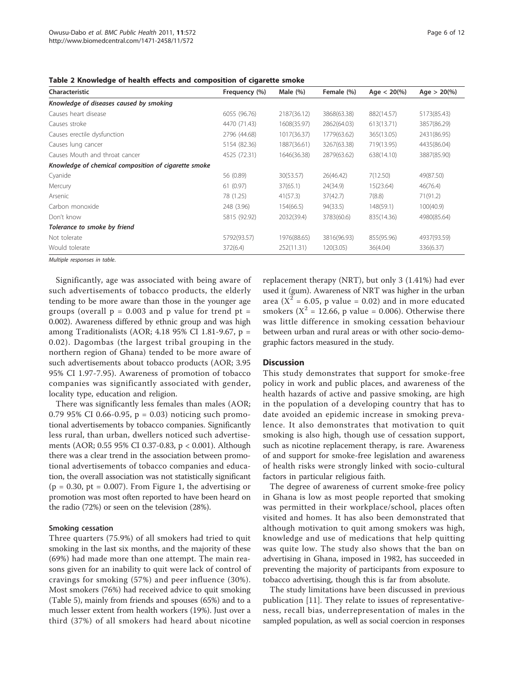<span id="page-5-0"></span>Table 2 Knowledge of health effects and composition of cigarette smoke

| Characteristic                                       | Frequency (%) | Male $(\% )$ | Female (%)  | Age $< 20$ (%) | Age $> 20\%$ ) |
|------------------------------------------------------|---------------|--------------|-------------|----------------|----------------|
| Knowledge of diseases caused by smoking              |               |              |             |                |                |
| Causes heart disease                                 | 6055 (96.76)  | 2187(36.12)  | 3868(63.38) | 882(14.57)     | 5173(85.43)    |
| Causes stroke                                        | 4470 (71.43)  | 1608(35.97)  | 2862(64.03) | 613(13.71)     | 3857(86.29)    |
| Causes erectile dysfunction                          | 2796 (44.68)  | 1017(36.37)  | 1779(63.62) | 365(13.05)     | 2431(86.95)    |
| Causes lung cancer                                   | 5154 (82.36)  | 1887(36.61)  | 3267(63.38) | 719(13.95)     | 4435(86.04)    |
| Causes Mouth and throat cancer                       | 4525 (72.31)  | 1646(36.38)  | 2879(63.62) | 638(14.10)     | 3887(85.90)    |
| Knowledge of chemical composition of cigarette smoke |               |              |             |                |                |
| Cyanide                                              | 56 (0.89)     | 30(53.57)    | 26(46.42)   | 7(12.50)       | 49(87.50)      |
| Mercury                                              | 61(0.97)      | 37(65.1)     | 24(34.9)    | 15(23.64)      | 46(76.4)       |
| Arsenic                                              | 78 (1.25)     | 41(57.3)     | 37(42.7)    | 7(8.8)         | 71(91.2)       |
| Carbon monoxide                                      | 248 (3.96)    | 154(66.5)    | 94(33.5)    | 148(59.1)      | 100(40.9)      |
| Don't know                                           | 5815 (92.92)  | 2032(39.4)   | 3783(60.6)  | 835(14.36)     | 4980(85.64)    |
| Tolerance to smoke by friend                         |               |              |             |                |                |
| Not tolerate                                         | 5792(93.57)   | 1976(88.65)  | 3816(96.93) | 855(95.96)     | 4937(93.59)    |
| Would tolerate                                       | 372(6.4)      | 252(11.31)   | 120(3.05)   | 36(4.04)       | 336(6.37)      |

Multiple responses in table.

Significantly, age was associated with being aware of such advertisements of tobacco products, the elderly tending to be more aware than those in the younger age groups (overall  $p = 0.003$  and p value for trend  $pt =$ 0.002). Awareness differed by ethnic group and was high among Traditionalists (AOR; 4.18 95% CI 1.81-9.67, p = 0.02). Dagombas (the largest tribal grouping in the northern region of Ghana) tended to be more aware of such advertisements about tobacco products (AOR; 3.95 95% CI 1.97-7.95). Awareness of promotion of tobacco companies was significantly associated with gender, locality type, education and religion.

There was significantly less females than males (AOR; 0.79 95% CI 0.66-0.95,  $p = 0.03$ ) noticing such promotional advertisements by tobacco companies. Significantly less rural, than urban, dwellers noticed such advertisements (AOR; 0.55 95% CI 0.37-0.83, p < 0.001). Although there was a clear trend in the association between promotional advertisements of tobacco companies and education, the overall association was not statistically significant  $(p = 0.30, pt = 0.007)$ . From Figure [1](#page-8-0), the advertising or promotion was most often reported to have been heard on the radio (72%) or seen on the television (28%).

#### Smoking cessation

Three quarters (75.9%) of all smokers had tried to quit smoking in the last six months, and the majority of these (69%) had made more than one attempt. The main reasons given for an inability to quit were lack of control of cravings for smoking (57%) and peer influence (30%). Most smokers (76%) had received advice to quit smoking (Table [5](#page-9-0)), mainly from friends and spouses (65%) and to a much lesser extent from health workers (19%). Just over a third (37%) of all smokers had heard about nicotine

replacement therapy (NRT), but only 3 (1.41%) had ever used it (gum). Awareness of NRT was higher in the urban area ( $X^2$  = 6.05, p value = 0.02) and in more educated smokers ( $X^2$  = 12.66, p value = 0.006). Otherwise there was little difference in smoking cessation behaviour between urban and rural areas or with other socio-demographic factors measured in the study.

#### **Discussion**

This study demonstrates that support for smoke-free policy in work and public places, and awareness of the health hazards of active and passive smoking, are high in the population of a developing country that has to date avoided an epidemic increase in smoking prevalence. It also demonstrates that motivation to quit smoking is also high, though use of cessation support, such as nicotine replacement therapy, is rare. Awareness of and support for smoke-free legislation and awareness of health risks were strongly linked with socio-cultural factors in particular religious faith.

The degree of awareness of current smoke-free policy in Ghana is low as most people reported that smoking was permitted in their workplace/school, places often visited and homes. It has also been demonstrated that although motivation to quit among smokers was high, knowledge and use of medications that help quitting was quite low. The study also shows that the ban on advertising in Ghana, imposed in 1982, has succeeded in preventing the majority of participants from exposure to tobacco advertising, though this is far from absolute.

The study limitations have been discussed in previous publication [[11\]](#page-10-0). They relate to issues of representativeness, recall bias, underrepresentation of males in the sampled population, as well as social coercion in responses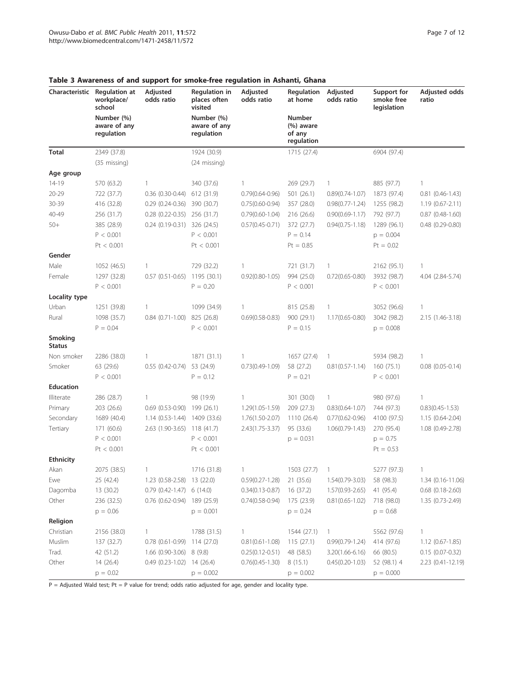|                          | Characteristic Regulation at<br>workplace/<br>school | Adjusted<br>odds ratio            | <b>Regulation in</b><br>places often<br>visited | Adjusted<br>odds ratio | Regulation<br>at home                       | Adjusted<br>odds ratio | Support for<br>smoke free<br>legislation | <b>Adjusted odds</b><br>ratio |
|--------------------------|------------------------------------------------------|-----------------------------------|-------------------------------------------------|------------------------|---------------------------------------------|------------------------|------------------------------------------|-------------------------------|
|                          | Number (%)<br>aware of any<br>regulation             |                                   | Number (%)<br>aware of any<br>regulation        |                        | Number<br>(%) aware<br>of any<br>regulation |                        |                                          |                               |
| <b>Total</b>             | 2349 (37.8)                                          |                                   | 1924 (30.9)                                     |                        | 1715 (27.4)                                 |                        | 6904 (97.4)                              |                               |
|                          | (35 missing)                                         |                                   | (24 missing)                                    |                        |                                             |                        |                                          |                               |
| Age group                |                                                      |                                   |                                                 |                        |                                             |                        |                                          |                               |
| $14 - 19$                | 570 (63.2)                                           | $\mathbf{1}$                      | 340 (37.6)                                      | $\mathbf{1}$           | 269 (29.7)                                  | 1                      | 885 (97.7)                               | 1                             |
| $20 - 29$                | 722 (37.7)                                           | $0.36$ $(0.30 - 0.44)$            | 612 (31.9)                                      | $0.79(0.64 - 0.96)$    | 501 (26.1)                                  | $0.89(0.74 - 1.07)$    | 1873 (97.4)                              | $0.81$ $(0.46 - 1.43)$        |
| 30-39                    | 416 (32.8)                                           | $0.29(0.24-0.36)$                 | 390 (30.7)                                      | $0.75(0.60 - 0.94)$    | 357 (28.0)                                  | $0.98(0.77 - 1.24)$    | 1255 (98.2)                              | $1.19(0.67 - 2.11)$           |
| 40-49                    | 256 (31.7)                                           | $0.28$ $(0.22 - 0.35)$            | 256 (31.7)                                      | $0.79(0.60 - 1.04)$    | 216 (26.6)                                  | $0.90(0.69 - 1.17)$    | 792 (97.7)                               | $0.87$ $(0.48-1.60)$          |
| $50+$                    | 385 (28.9)                                           | $0.24(0.19-0.31)$                 | 326 (24.5)                                      | $0.57(0.45 - 0.71)$    | 372 (27.7)                                  | $0.94(0.75 - 1.18)$    | 1289 (96.1)                              | $0.48$ $(0.29 - 0.80)$        |
|                          | P < 0.001                                            |                                   | P < 0.001                                       |                        | $P = 0.14$                                  |                        | $p = 0.004$                              |                               |
|                          | Pt < 0.001                                           |                                   | Pt < 0.001                                      |                        | $Pt = 0.85$                                 |                        | $Pt = 0.02$                              |                               |
| Gender                   |                                                      |                                   |                                                 |                        |                                             |                        |                                          |                               |
| Male                     | 1052 (46.5)                                          | 1                                 | 729 (32.2)                                      | 1                      | 721 (31.7)                                  | 1                      | 2162 (95.1)                              | $\mathbf{1}$                  |
| Female                   | 1297 (32.8)                                          | $0.57$ $(0.51 - 0.65)$            | 1195 (30.1)                                     | $0.92(0.80 - 1.05)$    | 994 (25.0)                                  | $0.72(0.65 - 0.80)$    | 3932 (98.7)                              | 4.04 (2.84-5.74)              |
|                          | P < 0.001                                            |                                   | $P = 0.20$                                      |                        | P < 0.001                                   |                        | P < 0.001                                |                               |
| Locality type            |                                                      |                                   |                                                 |                        |                                             |                        |                                          |                               |
| Urban                    | 1251 (39.8)                                          | 1                                 | 1099 (34.9)                                     | $\mathbf{1}$           | 815 (25.8)                                  | 1                      | 3052 (96.6)                              | 1                             |
| Rural                    | 1098 (35.7)                                          | $0.84(0.71-1.00)$                 | 825 (26.8)                                      | $0.69(0.58 - 0.83)$    | 900 (29.1)                                  | 1.17(0.65-0.80)        | 3042 (98.2)                              | 2.15 (1.46-3.18)              |
|                          | $P = 0.04$                                           |                                   | P < 0.001                                       |                        | $P = 0.15$                                  |                        | $p = 0.008$                              |                               |
| Smoking<br><b>Status</b> |                                                      |                                   |                                                 |                        |                                             |                        |                                          |                               |
| Non smoker               | 2286 (38.0)                                          | 1                                 | 1871 (31.1)                                     | $\mathbf{1}$           | 1657 (27.4)                                 | 1                      | 5934 (98.2)                              | $\mathbf{1}$                  |
| Smoker                   | 63 (29.6)                                            | $0.55(0.42 - 0.74)$               | 53 (24.9)                                       | $0.73(0.49 - 1.09)$    | 58 (27.2)                                   | $0.81(0.57 - 1.14)$    | 160(75.1)                                | $0.08$ $(0.05 - 0.14)$        |
|                          | P < 0.001                                            |                                   | $P = 0.12$                                      |                        | $P = 0.21$                                  |                        | P < 0.001                                |                               |
| <b>Education</b>         |                                                      |                                   |                                                 |                        |                                             |                        |                                          |                               |
| Illiterate               | 286 (28.7)                                           | 1                                 | 98 (19.9)                                       | $\mathbf{1}$           | 301 (30.0)                                  | 1                      | 980 (97.6)                               | 1                             |
| Primary                  | 203 (26.6)                                           | $0.69$ $(0.53 - 0.90)$            | 199 (26.1)                                      | $1.29(1.05 - 1.59)$    | 209 (27.3)                                  | $0.83(0.64 - 1.07)$    | 744 (97.3)                               | $0.83(0.45 - 1.53)$           |
| Secondary                | 1689 (40.4)                                          | $1.14(0.53-1.44)$                 | 1409 (33.6)                                     | $1.76(1.50-2.07)$      | 1110 (26.4)                                 | $0.77(0.62 - 0.96)$    | 4100 (97.5)                              | 1.15 (0.64-2.04)              |
| Tertiary                 | 171 (60.6)                                           | 2.63 (1.90-3.65)                  | 118(41.7)                                       | 2.43(1.75-3.37)        | 95 (33.6)                                   | $1.06(0.79 - 1.43)$    | 270 (95.4)                               | 1.08 (0.49-2.78)              |
|                          | P < 0.001                                            |                                   | P < 0.001                                       |                        | $p = 0.031$                                 |                        | $p = 0.75$                               |                               |
|                          | Pt < 0.001                                           |                                   | Pt < 0.001                                      |                        |                                             |                        | $Pt = 0.53$                              |                               |
| <b>Ethnicity</b>         |                                                      |                                   |                                                 |                        |                                             |                        |                                          |                               |
| Akan                     | 2075 (38.5)                                          | 1                                 | 1716 (31.8)                                     | 1                      | 1503 (27.7)                                 | -1                     | 5277 (97.3)                              | $\mathbf{1}$                  |
| Ewe                      | 25 (42.4)                                            | $1.23$ (0.58-2.58) 13 (22.0)      |                                                 | $0.59(0.27 - 1.28)$    | 21 (35.6)                                   | 1.54(0.79-3.03)        | 58 (98.3)                                | 1.34 (0.16-11.06)             |
| Dagomba                  | 13 (30.2)                                            | $0.79$ $(0.42 - 1.47)$ 6 $(14.0)$ |                                                 | $0.34(0.13 - 0.87)$    | 16 (37.2)                                   | 1.57(0.93-2.65)        | 41 (95.4)                                | $0.68$ $(0.18-2.60)$          |
| Other                    | 236 (32.5)                                           | $0.76$ $(0.62 - 0.94)$            | 189 (25.9)                                      | $0.74(0.58 - 0.94)$    | 175 (23.9)                                  | $0.81(0.65 - 1.02)$    | 718 (98.0)                               | 1.35 (0.73-2.49)              |
|                          | $p = 0.06$                                           |                                   | $p = 0.001$                                     |                        | $p = 0.24$                                  |                        | $p = 0.68$                               |                               |
| Religion                 |                                                      |                                   |                                                 |                        |                                             |                        |                                          |                               |
| Christian                | 2156 (38.0)                                          | $\mathbf{1}$                      | 1788 (31.5)                                     | $\mathbf{1}$           | 1544 (27.1)                                 | 1                      | 5562 (97.6)                              | 1                             |
| Muslim                   | 137 (32.7)                                           | $0.78$ $(0.61 - 0.99)$            | 114 (27.0)                                      | $0.81(0.61 - 1.08)$    | 115(27.1)                                   | $0.99(0.79 - 1.24)$    | 414 (97.6)                               | 1.12 (0.67-1.85)              |
| Trad.                    | 42 (51.2)                                            | $1.66$ (0.90-3.06) 8 (9.8)        |                                                 | $0.25(0.12 - 0.51)$    | 48 (58.5)                                   | $3.20(1.66 - 6.16)$    | 66 (80.5)                                | $0.15(0.07 - 0.32)$           |
| Other                    | 14 (26.4)                                            | $0.49$ $(0.23-1.02)$ 14 $(26.4)$  |                                                 | $0.76(0.45 - 1.30)$    | 8(15.1)                                     | $0.45(0.20-1.03)$      | 52 (98.1) 4                              | 2.23 (0.41-12.19)             |
|                          | $p = 0.02$                                           |                                   | $p = 0.002$                                     |                        | $p = 0.002$                                 |                        | $p = 0.000$                              |                               |

## <span id="page-6-0"></span>Table 3 Awareness of and support for smoke-free regulation in Ashanti, Ghana

 $P =$  Adjusted Wald test;  $Pt = P$  value for trend; odds ratio adjusted for age, gender and locality type.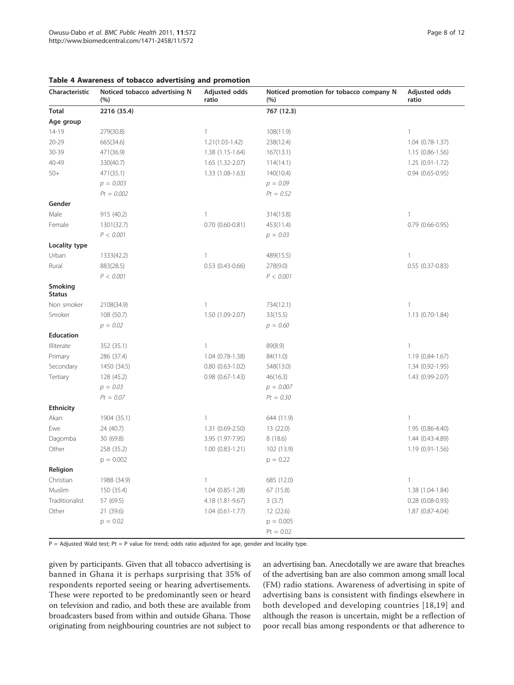| Characteristic           | Noticed tobacco advertising N<br>(%) | Adjusted odds<br>ratio | Noticed promotion for tobacco company N<br>(%) | Adjusted odds<br>ratio |
|--------------------------|--------------------------------------|------------------------|------------------------------------------------|------------------------|
| <b>Total</b>             | 2216 (35.4)                          |                        | 767 (12.3)                                     |                        |
| Age group                |                                      |                        |                                                |                        |
| 14-19                    | 279(30.8)                            | $\mathbf{1}$           | 108(11.9)                                      | $\mathbf{1}$           |
| $20 - 29$                | 665(34.6)                            | $1.21(1.03-1.42)$      | 238(12.4)                                      | $1.04(0.78-1.37)$      |
| 30-39                    | 471(36.9)                            | $1.38(1.15-1.64)$      | 167(13.1)                                      | $1.15(0.86-1.56)$      |
| 40-49                    | 330(40.7)                            | $1.65(1.32-2.07)$      | 114(14.1)                                      | $1.25(0.91-1.72)$      |
| $50+$                    | 471(35.1)                            | 1.33 (1.08-1.63)       | 140(10.4)                                      | $0.94(0.65 - 0.95)$    |
|                          | $p = 0.003$                          |                        | $p = 0.09$                                     |                        |
|                          | $Pt = 0.002$                         |                        | $Pt = 0.52$                                    |                        |
| Gender                   |                                      |                        |                                                |                        |
| Male                     | 915 (40.2)                           | $\mathbf{1}$           | 314(13.8)                                      | $\mathbf{1}$           |
| Female                   | 1301(32.7)                           | $0.70$ $(0.60 - 0.81)$ | 453(11.4)                                      | $0.79$ $(0.66 - 0.95)$ |
|                          | P < 0.001                            |                        | $p = 0.03$                                     |                        |
| Locality type            |                                      |                        |                                                |                        |
| Urban                    | 1333(42.2)                           | $\mathbf{1}$           | 489(15.5)                                      | 1                      |
| Rural                    | 883(28.5)                            | $0.53$ $(0.43 - 0.66)$ | 278(9.0)                                       | $0.55$ $(0.37 - 0.83)$ |
|                          | P < 0.001                            |                        | P < 0.001                                      |                        |
| Smoking<br><b>Status</b> |                                      |                        |                                                |                        |
| Non smoker               | 2108(34.9)                           | $\mathbf{1}$           | 734(12.1)                                      | 1                      |
| Smoker                   | 108 (50.7)                           | 1.50 (1.09-2.07)       | 33(15.5)                                       | 1.13 (0.70-1.84)       |
|                          | $p = 0.02$                           |                        | $p = 0.60$                                     |                        |
| <b>Education</b>         |                                      |                        |                                                |                        |
| Illiterate               | 352 (35.1)                           | $\mathbf{1}$           | 89(8.9)                                        | 1                      |
| Primary                  | 286 (37.4)                           | 1.04 (0.78-1.38)       | 84(11.0)                                       | 1.19 (0.84-1.67)       |
| Secondary                | 1450 (34.5)                          | $0.80(0.63 - 1.02)$    | 548(13.0)                                      | $1.34(0.92 - 1.95)$    |
| Tertiary                 | 128 (45.2)                           | $0.98(0.67 - 1.43)$    | 46(16.3)                                       | 1.43 (0.99-2.07)       |
|                          | $p = 0.03$                           |                        | $p = 0.007$                                    |                        |
|                          | $Pt = 0.07$                          |                        | $Pt = 0.30$                                    |                        |
| <b>Ethnicity</b>         |                                      |                        |                                                |                        |
| Akan                     | 1904 (35.1)                          | $\mathbf{1}$           | 644 (11.9)                                     | 1                      |
| Ewe                      | 24 (40.7)                            | 1.31 (0.69-2.50)       | 13 (22.0)                                      | 1.95 (0.86-4.40)       |
| Dagomba                  | 30 (69.8)                            | 3.95 (1.97-7.95)       | 8(18.6)                                        | 1.44 (0.43-4.89)       |
| Other                    | 258 (35.2)                           | $1.00(0.83-1.21)$      | 102 (13.9)                                     | $1.19(0.91 - 1.56)$    |
|                          | $p = 0.002$                          |                        | $p = 0.22$                                     |                        |
| Religion                 |                                      |                        |                                                |                        |
| Christian                | 1988 (34.9)                          | $\mathbf{1}$           | 685 (12.0)                                     | $\mathbf{1}$           |
| Muslim                   | 150 (35.4)                           | $1.04(0.85-1.28)$      | 67 (15.8)                                      | 1.38 (1.04-1.84)       |
| Traditionalist           | 57 (69.5)                            | 4.18 (1.81-9.67)       | 3(3.7)                                         | $0.28$ $(0.08 - 0.93)$ |
| Other                    | 21 (39.6)                            | $1.04(0.61 - 1.77)$    | 12(22.6)                                       | 1.87 (0.87-4.04)       |
|                          | $p = 0.02$                           |                        | $p = 0.005$                                    |                        |
|                          |                                      |                        | $Pt = 0.02$                                    |                        |

#### <span id="page-7-0"></span>Table 4 Awareness of tobacco advertising and promotion

 $P =$  Adjusted Wald test; Pt = P value for trend; odds ratio adjusted for age, gender and locality type.

given by participants. Given that all tobacco advertising is banned in Ghana it is perhaps surprising that 35% of respondents reported seeing or hearing advertisements. These were reported to be predominantly seen or heard on television and radio, and both these are available from broadcasters based from within and outside Ghana. Those originating from neighbouring countries are not subject to

an advertising ban. Anecdotally we are aware that breaches of the advertising ban are also common among small local (FM) radio stations. Awareness of advertising in spite of advertising bans is consistent with findings elsewhere in both developed and developing countries [[18](#page-10-0),[19](#page-10-0)] and although the reason is uncertain, might be a reflection of poor recall bias among respondents or that adherence to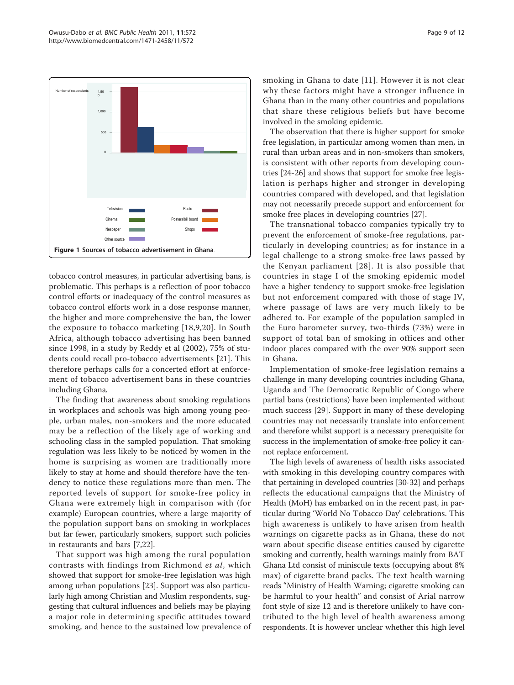<span id="page-8-0"></span>

tobacco control measures, in particular advertising bans, is problematic. This perhaps is a reflection of poor tobacco control efforts or inadequacy of the control measures as tobacco control efforts work in a dose response manner, the higher and more comprehensive the ban, the lower the exposure to tobacco marketing [[18](#page-10-0),[9,20](#page-10-0)]. In South Africa, although tobacco advertising has been banned since 1998, in a study by Reddy et al (2002), 75% of students could recall pro-tobacco advertisements [[21\]](#page-10-0). This therefore perhaps calls for a concerted effort at enforcement of tobacco advertisement bans in these countries including Ghana.

The finding that awareness about smoking regulations in workplaces and schools was high among young people, urban males, non-smokers and the more educated may be a reflection of the likely age of working and schooling class in the sampled population. That smoking regulation was less likely to be noticed by women in the home is surprising as women are traditionally more likely to stay at home and should therefore have the tendency to notice these regulations more than men. The reported levels of support for smoke-free policy in Ghana were extremely high in comparison with (for example) European countries, where a large majority of the population support bans on smoking in workplaces but far fewer, particularly smokers, support such policies in restaurants and bars [[7](#page-10-0),[22](#page-10-0)].

That support was high among the rural population contrasts with findings from Richmond et al, which showed that support for smoke-free legislation was high among urban populations [\[23\]](#page-10-0). Support was also particularly high among Christian and Muslim respondents, suggesting that cultural influences and beliefs may be playing a major role in determining specific attitudes toward smoking, and hence to the sustained low prevalence of smoking in Ghana to date [[11](#page-10-0)]. However it is not clear why these factors might have a stronger influence in Ghana than in the many other countries and populations that share these religious beliefs but have become involved in the smoking epidemic.

The observation that there is higher support for smoke free legislation, in particular among women than men, in rural than urban areas and in non-smokers than smokers, is consistent with other reports from developing countries [\[24-](#page-10-0)[26](#page-11-0)] and shows that support for smoke free legislation is perhaps higher and stronger in developing countries compared with developed, and that legislation may not necessarily precede support and enforcement for smoke free places in developing countries [[27\]](#page-11-0).

The transnational tobacco companies typically try to prevent the enforcement of smoke-free regulations, particularly in developing countries; as for instance in a legal challenge to a strong smoke-free laws passed by the Kenyan parliament [[28\]](#page-11-0). It is also possible that countries in stage I of the smoking epidemic model have a higher tendency to support smoke-free legislation but not enforcement compared with those of stage IV, where passage of laws are very much likely to be adhered to. For example of the population sampled in the Euro barometer survey, two-thirds (73%) were in support of total ban of smoking in offices and other indoor places compared with the over 90% support seen in Ghana.

Implementation of smoke-free legislation remains a challenge in many developing countries including Ghana, Uganda and The Democratic Republic of Congo where partial bans (restrictions) have been implemented without much success [[29\]](#page-11-0). Support in many of these developing countries may not necessarily translate into enforcement and therefore whilst support is a necessary prerequisite for success in the implementation of smoke-free policy it cannot replace enforcement.

The high levels of awareness of health risks associated with smoking in this developing country compares with that pertaining in developed countries [[30](#page-11-0)-[32](#page-11-0)] and perhaps reflects the educational campaigns that the Ministry of Health (MoH) has embarked on in the recent past, in particular during 'World No Tobacco Day' celebrations. This high awareness is unlikely to have arisen from health warnings on cigarette packs as in Ghana, these do not warn about specific disease entities caused by cigarette smoking and currently, health warnings mainly from BAT Ghana Ltd consist of miniscule texts (occupying about 8% max) of cigarette brand packs. The text health warning reads "Ministry of Health Warning; cigarette smoking can be harmful to your health" and consist of Arial narrow font style of size 12 and is therefore unlikely to have contributed to the high level of health awareness among respondents. It is however unclear whether this high level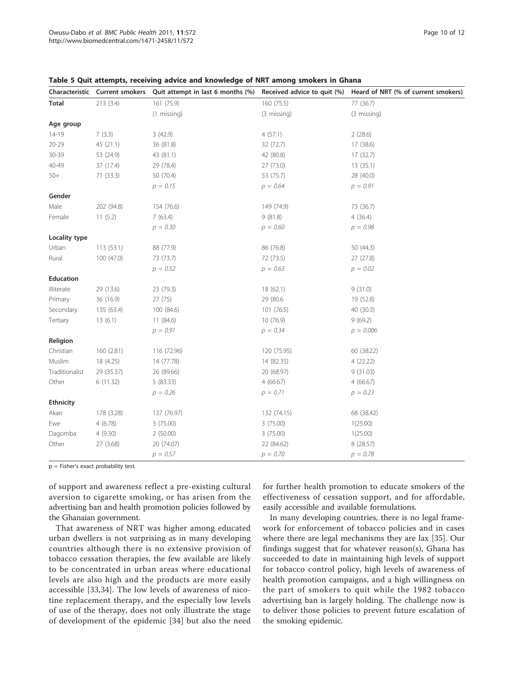|                  |            | Characteristic Current smokers Quit attempt in last 6 months (%) | Received advice to quit (%) | Heard of NRT (% of current smokers) |
|------------------|------------|------------------------------------------------------------------|-----------------------------|-------------------------------------|
| <b>Total</b>     | 213 (3.4)  | 161 (75.9)                                                       | 160 (75.5)                  | 77 (36.7)                           |
|                  |            | (1 missing)                                                      | (3 missing)                 | (3 missing)                         |
| Age group        |            |                                                                  |                             |                                     |
| $14 - 19$        | 7(3.3)     | 3(42.9)                                                          | 4(57.1)                     | 2(28.6)                             |
| $20 - 29$        | 45 (21.1)  | 36 (81.8)                                                        | 32 (72.7)                   | 17 (38.6)                           |
| 30-39            | 53 (24.9)  | 43 (81.1)                                                        | 42 (80.8)                   | 17(32.7)                            |
| 40-49            | 37 (17.4)  | 29 (78.4)                                                        | 27 (73.0)                   | 13(35.1)                            |
| $50+$            | 71 (33.3)  | 50 (70.4)                                                        | 53 (75.7)                   | 28 (40.0)                           |
|                  |            | $p = 0.15$                                                       | $p = 0.64$                  | $p = 0.91$                          |
| Gender           |            |                                                                  |                             |                                     |
| Male             | 202 (94.8) | 154 (76.6)                                                       | 149 (74.9)                  | 73 (36.7)                           |
| Female           | 11(5.2)    | 7(63.4)                                                          | 9(81.8)                     | 4(36.4)                             |
|                  |            | $p = 0.30$                                                       | $p = 0.60$                  | $p = 0.98$                          |
| Locality type    |            |                                                                  |                             |                                     |
| Urban            | 113 (53.1) | 88 (77.9)                                                        | 86 (76.8)                   | 50 (44.3)                           |
| Rural            | 100 (47.0) | 73 (73.7)                                                        | 72 (73.5)                   | 27 (27.8)                           |
|                  |            | $p = 0.52$                                                       | $p = 0.63$                  | $p = 0.02$                          |
| Education        |            |                                                                  |                             |                                     |
| Illiterate       | 29 (13.6)  | 23 (79.3)                                                        | 18 (62.1)                   | 9(31.0)                             |
| Primary          | 36 (16.9)  | 27 (75)                                                          | 29 (80.6                    | 19 (52.8)                           |
| Secondary        | 135 (63.4) | 100 (84.6)                                                       | 101 (76.5)                  | 40 (30.3)                           |
| Tertiary         | 13(6.1)    | 11 (84.6)                                                        | 10 (76.9)                   | 9(69.2)                             |
|                  |            | $p = 0.91$                                                       | $p = 0.34$                  | $p = 0.006$                         |
| Religion         |            |                                                                  |                             |                                     |
| Christian        | 160(2.81)  | 116 (72.96)                                                      | 120 (75.95)                 | 60 (38.22)                          |
| Muslim           | 18 (4.25)  | 14 (77.78)                                                       | 14 (82.35)                  | 4 (22.22)                           |
| Traditionalist   | 29 (35.37) | 26 (89.66)                                                       | 20 (68.97)                  | 9(31.03)                            |
| Other            | 6(11.32)   | 5(83.33)                                                         | 4(66.67)                    | 4(66.67)                            |
|                  |            | $p = 0.26$                                                       | $p = 0.71$                  | $p = 0.23$                          |
| <b>Ethnicity</b> |            |                                                                  |                             |                                     |
| Akan             | 178 (3.28) | 137 (76.97)                                                      | 132 (74.15)                 | 68 (38.42)                          |
| Ewe              | 4(6.78)    | 3(75.00)                                                         | 3(75.00)                    | 1(25.00)                            |
| Dagomba          | 4(9.30)    | 2(50.00)                                                         | 3(75.00)                    | 1(25.00)                            |
| Other            | 27 (3.68)  | 20 (74.07)                                                       | 22 (84.62)                  | 8 (28.57)                           |
|                  |            | $p = 0.57$                                                       | $p = 0.70$                  | $p = 0.78$                          |

<span id="page-9-0"></span>Table 5 Quit attempts, receiving advice and knowledge of NRT among smokers in Ghana

p = Fisher's exact probability test.

of support and awareness reflect a pre-existing cultural aversion to cigarette smoking, or has arisen from the advertising ban and health promotion policies followed by the Ghanaian government.

That awareness of NRT was higher among educated urban dwellers is not surprising as in many developing countries although there is no extensive provision of tobacco cessation therapies, the few available are likely to be concentrated in urban areas where educational levels are also high and the products are more easily accessible [\[33](#page-11-0),[34\]](#page-11-0). The low levels of awareness of nicotine replacement therapy, and the especially low levels of use of the therapy, does not only illustrate the stage of development of the epidemic [[34\]](#page-11-0) but also the need for further health promotion to educate smokers of the effectiveness of cessation support, and for affordable, easily accessible and available formulations.

In many developing countries, there is no legal framework for enforcement of tobacco policies and in cases where there are legal mechanisms they are lax [\[35](#page-11-0)]. Our findings suggest that for whatever reason(s), Ghana has succeeded to date in maintaining high levels of support for tobacco control policy, high levels of awareness of health promotion campaigns, and a high willingness on the part of smokers to quit while the 1982 tobacco advertising ban is largely holding. The challenge now is to deliver those policies to prevent future escalation of the smoking epidemic.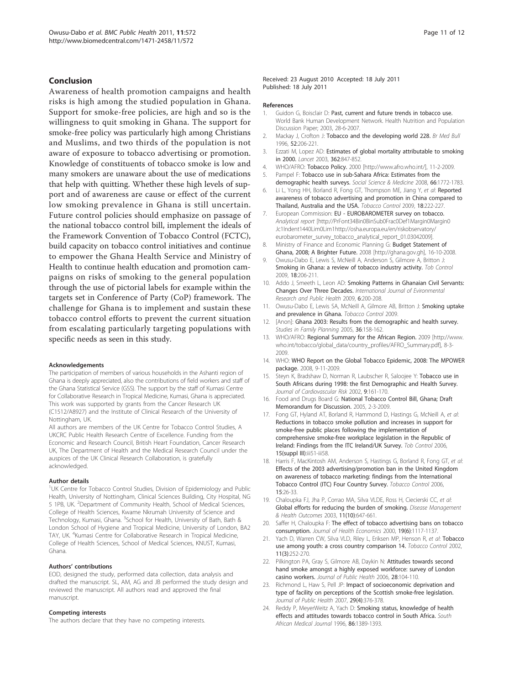#### <span id="page-10-0"></span>Conclusion

Awareness of health promotion campaigns and health risks is high among the studied population in Ghana. Support for smoke-free policies, are high and so is the willingness to quit smoking in Ghana. The support for smoke-free policy was particularly high among Christians and Muslims, and two thirds of the population is not aware of exposure to tobacco advertising or promotion. Knowledge of constituents of tobacco smoke is low and many smokers are unaware about the use of medications that help with quitting. Whether these high levels of support and of awareness are cause or effect of the current low smoking prevalence in Ghana is still uncertain. Future control policies should emphasize on passage of the national tobacco control bill, implement the ideals of the Framework Convention of Tobacco Control (FCTC), build capacity on tobacco control initiatives and continue to empower the Ghana Health Service and Ministry of Health to continue health education and promotion campaigns on risks of smoking to the general population through the use of pictorial labels for example within the targets set in Conference of Party (CoP) framework. The challenge for Ghana is to implement and sustain these tobacco control efforts to prevent the current situation from escalating particularly targeting populations with specific needs as seen in this study.

#### Acknowledgements

The participation of members of various households in the Ashanti region of Ghana is deeply appreciated, also the contributions of field workers and staff of the Ghana Statistical Service (GSS). The support by the staff of Kumasi Centre for Collaborative Research in Tropical Medicine, Kumasi, Ghana is appreciated. This work was supported by grants from the Cancer Research UK (C1512/A8927) and the Institute of Clinical Research of the University of Nottingham, UK.

All authors are members of the UK Centre for Tobacco Control Studies, A UKCRC Public Health Research Centre of Excellence. Funding from the Economic and Research Council, British Heart Foundation, Cancer Research UK, The Department of Health and the Medical Research Council under the auspices of the UK Clinical Research Collaboration, is gratefully acknowledged.

#### Author details

<sup>1</sup>UK Centre for Tobacco Control Studies, Division of Epidemiology and Public Health, University of Nottingham, Clinical Sciences Building, City Hospital, NG 5 1PB, UK. <sup>2</sup>Department of Community Health, School of Medical Sciences, College of Health Sciences, Kwame Nkrumah University of Science and Technology, Kumasi, Ghana. <sup>3</sup>School for Health, University of Bath, Bath & London School of Hygiene and Tropical Medicine, University of London, BA2 TAY, UK. <sup>4</sup> Kumasi Centre for Collaborative Research in Tropical Medicine, College of Health Sciences, School of Medical Sciences, KNUST, Kumasi, Ghana.

#### Authors' contributions

EOD, designed the study, performed data collection, data analysis and drafted the manuscript. SL, AM, AG and JB performed the study design and reviewed the manuscript. All authors read and approved the final manuscript.

#### Competing interests

The authors declare that they have no competing interests.

Received: 23 August 2010 Accepted: 18 July 2011 Published: 18 July 2011

#### References

- 1. Guidon G, Boisclair D: Past, current and future trends in tobacco use. World Bank Human Development Network. Health Nutrition and Population Discussion Paper; 2003, 28-6-2007.
- 2. Mackay J, Crofton J: [Tobacco and the developing world 228.](http://www.ncbi.nlm.nih.gov/pubmed/8746308?dopt=Abstract) Br Med Bull 1996, 52:206-221.
- 3. Ezzati M, Lopez AD: [Estimates of global mortality attributable to smoking](http://www.ncbi.nlm.nih.gov/pubmed/13678970?dopt=Abstract) [in 2000.](http://www.ncbi.nlm.nih.gov/pubmed/13678970?dopt=Abstract) Lancet 2003, 362:847-852.
- 4. WHO/AFRO: Tobacco Policy. 2000 [\[http://www.afro.who.int/\]](http://www.afro.who.int/), 11-2-2009.
- 5. Pampel F: [Tobacco use in sub-Sahara Africa: Estimates from the](http://www.ncbi.nlm.nih.gov/pubmed/21774108?dopt=Abstract) [demographic health surveys.](http://www.ncbi.nlm.nih.gov/pubmed/21774108?dopt=Abstract) Social Science & Medicine 2008, 66:1772-1783.
- 6. Li L, Yong HH, Borland R, Fong GT, Thompson ME, Jiang Y, et al: [Reported](http://www.ncbi.nlm.nih.gov/pubmed/19332425?dopt=Abstract) [awareness of tobacco advertising and promotion in China compared to](http://www.ncbi.nlm.nih.gov/pubmed/19332425?dopt=Abstract) [Thailand, Australia and the USA.](http://www.ncbi.nlm.nih.gov/pubmed/19332425?dopt=Abstract) Tobacco Control 2009, 18:222-227.
- European Commission: EU EUROBAROMETER survey on tobacco. Analytical report [[http://PrFont34Bin0BinSub0Frac0Def1Margin0Margin0](http://PrFont34Bin0BinSub0Frac0Def1Margin0Margin0Jc1Indent1440Lim0Lim1http://osha.europa.eu/en/riskobservatory/eurobarometer_survey_tobacco_analytical_report_01.03042009) [Jc1Indent1440Lim0Lim1http://osha.europa.eu/en/riskobservatory/](http://PrFont34Bin0BinSub0Frac0Def1Margin0Margin0Jc1Indent1440Lim0Lim1http://osha.europa.eu/en/riskobservatory/eurobarometer_survey_tobacco_analytical_report_01.03042009) [eurobarometer\\_survey\\_tobacco\\_analytical\\_report\\_01.03042009](http://PrFont34Bin0BinSub0Frac0Def1Margin0Margin0Jc1Indent1440Lim0Lim1http://osha.europa.eu/en/riskobservatory/eurobarometer_survey_tobacco_analytical_report_01.03042009)].
- 8. Ministry of Finance and Economic Planning G: Budget Statement of Ghana, 2008; A Brighter Future. 2008 [\[http://ghana.gov.gh\]](http://ghana.gov.gh), 16-10-2008.
- Owusu-Dabo E, Lewis S, McNeill A, Anderson S, Gilmore A, Britton J: [Smoking in Ghana: a review of tobacco industry activity.](http://www.ncbi.nlm.nih.gov/pubmed/19359263?dopt=Abstract) Tob Control 2009, 18:206-211.
- 10. Addo J, Smeeth L, Leon AD: Smoking Patterns in Ghanaian Civil Servants: Changes Over Three Decades. International Journal of Evironmental Research and Public Health 2009, 6:200-208.
- 11. Owusu-Dabo E, Lewis SA, McNeill A, Gilmore AB, Britton J: Smoking uptake and prevalence in Ghana. Tobacco Control 2009.
- 12. [Anon]: [Ghana 2003: Results from the demographic and health survey.](http://www.ncbi.nlm.nih.gov/pubmed/15991656?dopt=Abstract) Studies in Family Planning 2005, 36:158-162.
- 13. WHO/AFRO: Regional Summary for the African Region. 2009 [[http://www.](http://www.who.int/tobacco/global_data/country_profiles/AFRO_Summary.pdf) [who.int/tobacco/global\\_data/country\\_profiles/AFRO\\_Summary.pdf](http://www.who.int/tobacco/global_data/country_profiles/AFRO_Summary.pdf)], 8-3- 2009.
- 14. WHO: WHO Report on the Global Tobacco Epidemic, 2008: The MPOWER package. 2008, 9-11-2009.
- 15. Steyn K, Bradshaw D, Norman R, Laubscher R, Saloojee Y: [Tobacco use in](http://www.ncbi.nlm.nih.gov/pubmed/12202839?dopt=Abstract) [South Africans during 1998: the first Demographic and Health Survey.](http://www.ncbi.nlm.nih.gov/pubmed/12202839?dopt=Abstract) Journal of Cardiovascular Risk 2002, 9:161-170.
- 16. Food and Drugs Board G: National Tobacco Control Bill, Ghana; Draft Memorandum for Discussion. 2005, 2-3-2009.
- 17. Fong GT, Hyland AT, Borland R, Hammond D, Hastings G, McNeill A, et al: [Reductions in tobacco smoke pollution and increases in support for](http://www.ncbi.nlm.nih.gov/pubmed/16754947?dopt=Abstract) [smoke-free public places following the implementation of](http://www.ncbi.nlm.nih.gov/pubmed/16754947?dopt=Abstract) [comprehensive smoke-free workplace legislation in the Republic of](http://www.ncbi.nlm.nih.gov/pubmed/16754947?dopt=Abstract) [Ireland: Findings from the ITC Ireland/UK Survey.](http://www.ncbi.nlm.nih.gov/pubmed/16754947?dopt=Abstract) Tob Control 2006, 15(suppl III):iii51-iii58.
- 18. Harris F, MacKintosh AM, Anderson S, Hastings G, Borland R, Fong GT, et al: [Effects of the 2003 advertising/promotion ban in the United Kingdom](http://www.ncbi.nlm.nih.gov/pubmed/16436400?dopt=Abstract) [on awareness of tobacco marketing: findings from the International](http://www.ncbi.nlm.nih.gov/pubmed/16436400?dopt=Abstract) [Tobacco Control \(ITC\) Four Country Survey.](http://www.ncbi.nlm.nih.gov/pubmed/16436400?dopt=Abstract) Tobacco Control 2006, 15:26-33.
- 19. Chaloupka FJ, Jha P, Corrao MA, Silva VLDE, Ross H, Ciecierski CC, et al: [Global efforts for reducing the burden of smoking.](http://www.ncbi.nlm.nih.gov/pubmed/21774106?dopt=Abstract) Disease Management & Health Outcomes 2003, 11(10):647-661.
- 20. Saffer H, Chaloupka F: [The effect of tobacco advertising bans on tobacco](http://www.ncbi.nlm.nih.gov/pubmed/11186847?dopt=Abstract) [consumption.](http://www.ncbi.nlm.nih.gov/pubmed/11186847?dopt=Abstract) Journal of Health Economics 2000, 19(6):1117-1137.
- 21. Yach D, Warren CW, Silva VLD, Riley L, Eriksen MP, Henson R, et al: [Tobacco](http://www.ncbi.nlm.nih.gov/pubmed/12198280?dopt=Abstract) [use among youth: a cross country comparison 14.](http://www.ncbi.nlm.nih.gov/pubmed/12198280?dopt=Abstract) Tobacco Control 2002, 11(3):252-270.
- 22. Pilkington PA, Gray S, Gilmore AB, Daykin N: [Attitudes towards second](http://www.ncbi.nlm.nih.gov/pubmed/16497788?dopt=Abstract) [hand smoke amongst a highly exposed workforce: survey of London](http://www.ncbi.nlm.nih.gov/pubmed/16497788?dopt=Abstract) [casino workers.](http://www.ncbi.nlm.nih.gov/pubmed/16497788?dopt=Abstract) Journal of Public Health 2006, 28:104-110.
- 23. Richmond L, Haw S, Pell JP: [Impact of socioeconomic deprivation and](http://www.ncbi.nlm.nih.gov/pubmed/17785280?dopt=Abstract) [type of facility on perceptions of the Scottish smoke-free legislation.](http://www.ncbi.nlm.nih.gov/pubmed/17785280?dopt=Abstract) Journal of Public Health 2007, 29(4):376-378.
- 24. Reddy P, MeyerWeitz A, Yach D: [Smoking status, knowledge of health](http://www.ncbi.nlm.nih.gov/pubmed/8980556?dopt=Abstract) [effects and attitudes towards tobacco control in South Africa.](http://www.ncbi.nlm.nih.gov/pubmed/8980556?dopt=Abstract) South African Medical Journal 1996, 86:1389-1393.